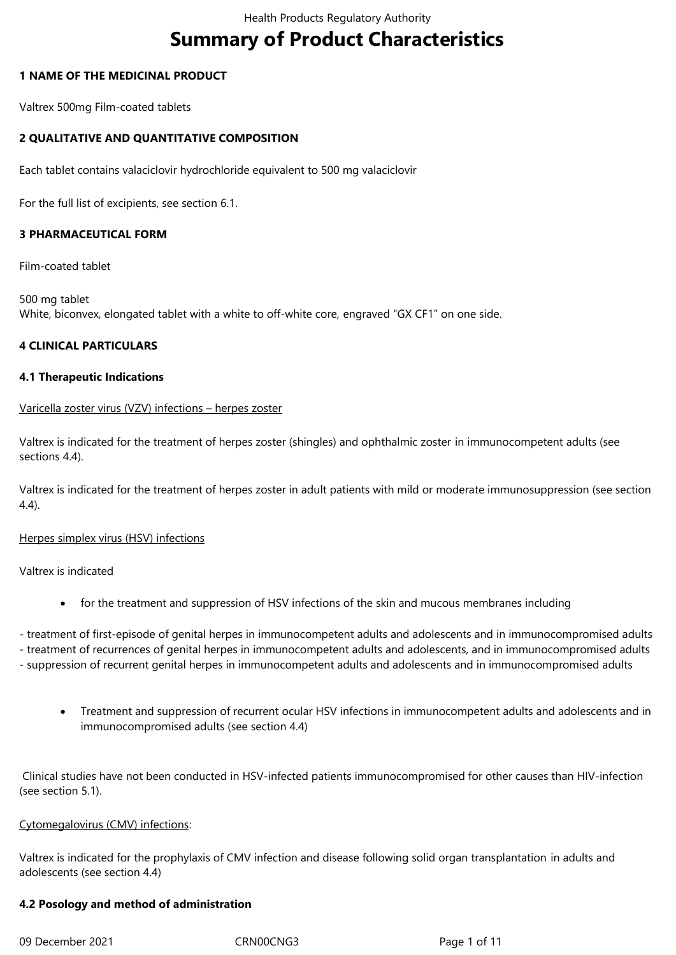# **Summary of Product Characteristics**

## **1 NAME OF THE MEDICINAL PRODUCT**

Valtrex 500mg Film-coated tablets

## **2 QUALITATIVE AND QUANTITATIVE COMPOSITION**

Each tablet contains valaciclovir hydrochloride equivalent to 500 mg valaciclovir

For the full list of excipients, see section 6.1.

## **3 PHARMACEUTICAL FORM**

Film-coated tablet

500 mg tablet White, biconvex, elongated tablet with a white to off-white core, engraved "GX CF1" on one side.

#### **4 CLINICAL PARTICULARS**

#### **4.1 Therapeutic Indications**

#### Varicella zoster virus (VZV) infections – herpes zoster

Valtrex is indicated for the treatment of herpes zoster (shingles) and ophthalmic zoster in immunocompetent adults (see sections 4.4).

Valtrex is indicated for the treatment of herpes zoster in adult patients with mild or moderate immunosuppression (see section 4.4).

Herpes simplex virus (HSV) infections

Valtrex is indicated

• for the treatment and suppression of HSV infections of the skin and mucous membranes including

- treatment of first-episode of genital herpes in immunocompetent adults and adolescents and in immunocompromised adults

- treatment of recurrences of genital herpes in immunocompetent adults and adolescents, and in immunocompromised adults

- suppression of recurrent genital herpes in immunocompetent adults and adolescents and in immunocompromised adults
	- Treatment and suppression of recurrent ocular HSV infections in immunocompetent adults and adolescents and in immunocompromised adults (see section 4.4)

Clinical studies have not been conducted in HSV-infected patients immunocompromised for other causes than HIV-infection (see section 5.1).

#### Cytomegalovirus (CMV) infections:

Valtrex is indicated for the prophylaxis of CMV infection and disease following solid organ transplantation in adults and adolescents (see section 4.4)

#### **4.2 Posology and method of administration**

09 December 2021 CRN00CNG3 Page 1 of 11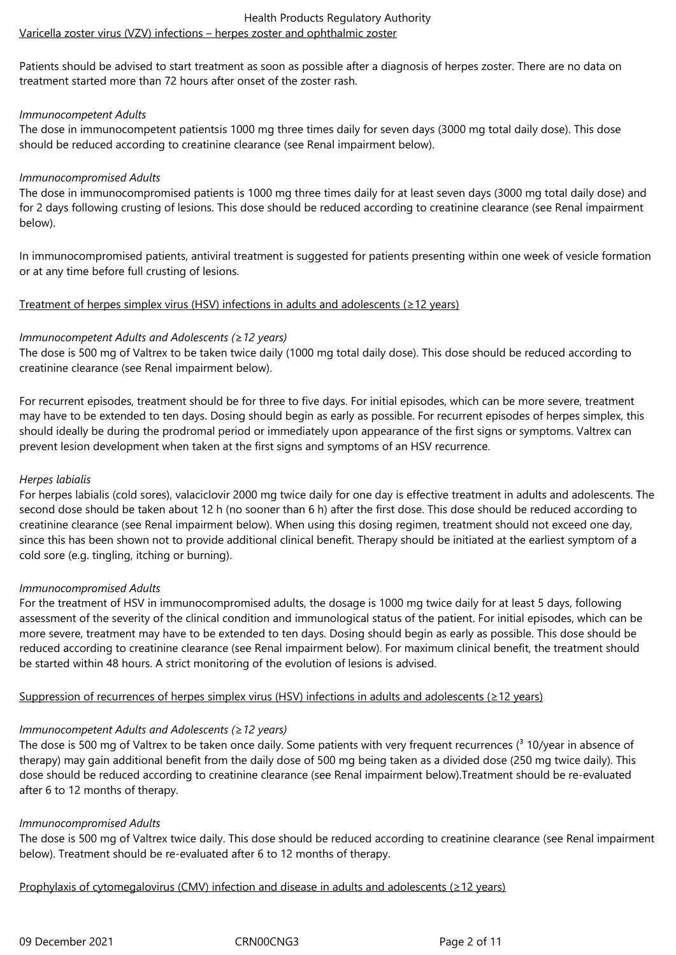Patients should be advised to start treatment as soon as possible after a diagnosis of herpes zoster. There are no data on treatment started more than 72 hours after onset of the zoster rash.

## *Immunocompetent Adults*

The dose in immunocompetent patientsis 1000 mg three times daily for seven days (3000 mg total daily dose). This dose should be reduced according to creatinine clearance (see Renal impairment below).

## *Immunocompromised Adults*

The dose in immunocompromised patients is 1000 mg three times daily for at least seven days (3000 mg total daily dose) and for 2 days following crusting of lesions. This dose should be reduced according to creatinine clearance (see Renal impairment below).

In immunocompromised patients, antiviral treatment is suggested for patients presenting within one week of vesicle formation or at any time before full crusting of lesions.

# Treatment of herpes simplex virus (HSV) infections in adults and adolescents (≥12 years)

## *Immunocompetent Adults and Adolescents (≥12 years)*

The dose is 500 mg of Valtrex to be taken twice daily (1000 mg total daily dose). This dose should be reduced according to creatinine clearance (see Renal impairment below).

For recurrent episodes, treatment should be for three to five days. For initial episodes, which can be more severe, treatment may have to be extended to ten days. Dosing should begin as early as possible. For recurrent episodes of herpes simplex, this should ideally be during the prodromal period or immediately upon appearance of the first signs or symptoms. Valtrex can prevent lesion development when taken at the first signs and symptoms of an HSV recurrence.

## *Herpes labialis*

For herpes labialis (cold sores), valaciclovir 2000 mg twice daily for one day is effective treatment in adults and adolescents. The second dose should be taken about 12 h (no sooner than 6 h) after the first dose. This dose should be reduced according to creatinine clearance (see Renal impairment below). When using this dosing regimen, treatment should not exceed one day, since this has been shown not to provide additional clinical benefit. Therapy should be initiated at the earliest symptom of a cold sore (e.g. tingling, itching or burning).

#### *Immunocompromised Adults*

For the treatment of HSV in immunocompromised adults, the dosage is 1000 mg twice daily for at least 5 days, following assessment of the severity of the clinical condition and immunological status of the patient. For initial episodes, which can be more severe, treatment may have to be extended to ten days. Dosing should begin as early as possible. This dose should be reduced according to creatinine clearance (see Renal impairment below). For maximum clinical benefit, the treatment should be started within 48 hours. A strict monitoring of the evolution of lesions is advised.

# Suppression of recurrences of herpes simplex virus (HSV) infections in adults and adolescents (≥12 years)

# *Immunocompetent Adults and Adolescents (≥12 years)*

The dose is 500 mg of Valtrex to be taken once daily. Some patients with very frequent recurrences ( $3$  10/year in absence of therapy) may gain additional benefit from the daily dose of 500 mg being taken as a divided dose (250 mg twice daily). This dose should be reduced according to creatinine clearance (see Renal impairment below).Treatment should be re-evaluated after 6 to 12 months of therapy.

#### *Immunocompromised Adults*

The dose is 500 mg of Valtrex twice daily. This dose should be reduced according to creatinine clearance (see Renal impairment below). Treatment should be re-evaluated after 6 to 12 months of therapy.

#### Prophylaxis of cytomegalovirus (CMV) infection and disease in adults and adolescents (≥12 years)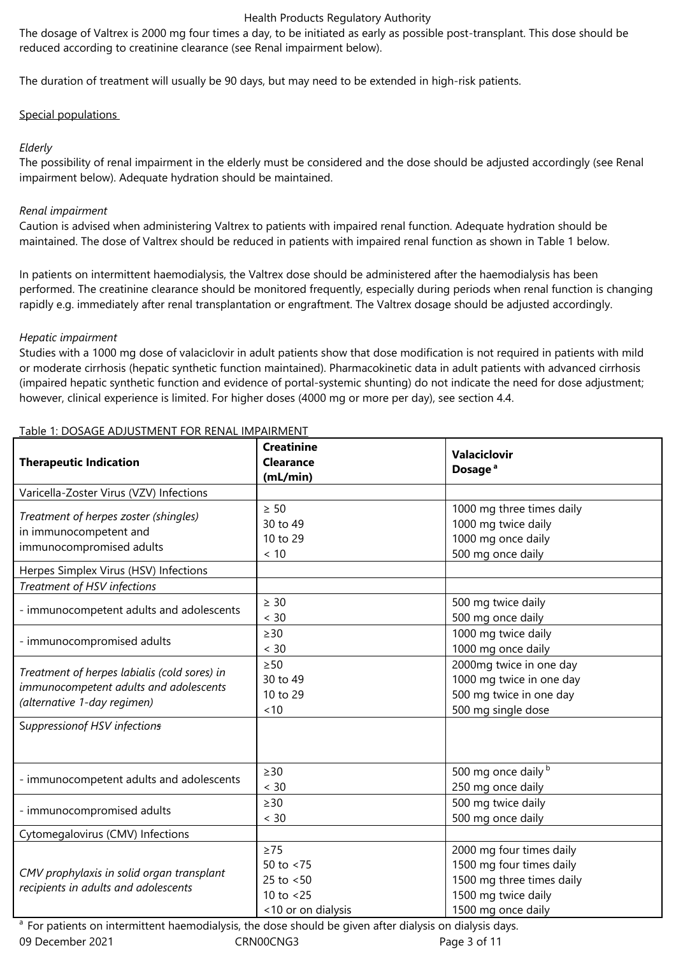The dosage of Valtrex is 2000 mg four times a day, to be initiated as early as possible post-transplant. This dose should be reduced according to creatinine clearance (see Renal impairment below).

The duration of treatment will usually be 90 days, but may need to be extended in high-risk patients.

# Special populations

# *Elderly*

The possibility of renal impairment in the elderly must be considered and the dose should be adjusted accordingly (see Renal impairment below). Adequate hydration should be maintained.

# *Renal impairment*

Caution is advised when administering Valtrex to patients with impaired renal function. Adequate hydration should be maintained. The dose of Valtrex should be reduced in patients with impaired renal function as shown in Table 1 below.

In patients on intermittent haemodialysis, the Valtrex dose should be administered after the haemodialysis has been performed. The creatinine clearance should be monitored frequently, especially during periods when renal function is changing rapidly e.g. immediately after renal transplantation or engraftment. The Valtrex dosage should be adjusted accordingly.

# *Hepatic impairment*

Studies with a 1000 mg dose of valaciclovir in adult patients show that dose modification is not required in patients with mild or moderate cirrhosis (hepatic synthetic function maintained). Pharmacokinetic data in adult patients with advanced cirrhosis (impaired hepatic synthetic function and evidence of portal-systemic shunting) do not indicate the need for dose adjustment; however, clinical experience is limited. For higher doses (4000 mg or more per day), see section 4.4.

| <b>Therapeutic Indication</b>                                                                                         | <b>Creatinine</b><br><b>Clearance</b><br>(mL/min)                               | Valaciclovir<br>Dosage <sup>a</sup>                                                                                            |  |  |
|-----------------------------------------------------------------------------------------------------------------------|---------------------------------------------------------------------------------|--------------------------------------------------------------------------------------------------------------------------------|--|--|
| Varicella-Zoster Virus (VZV) Infections                                                                               |                                                                                 |                                                                                                                                |  |  |
| Treatment of herpes zoster (shingles)<br>in immunocompetent and<br>immunocompromised adults                           | $\geq 50$<br>30 to 49<br>10 to 29<br>< 10                                       | 1000 mg three times daily<br>1000 mg twice daily<br>1000 mg once daily<br>500 mg once daily                                    |  |  |
| Herpes Simplex Virus (HSV) Infections                                                                                 |                                                                                 |                                                                                                                                |  |  |
| Treatment of HSV infections                                                                                           |                                                                                 |                                                                                                                                |  |  |
| - immunocompetent adults and adolescents                                                                              | $\geq 30$<br>< 30                                                               | 500 mg twice daily<br>500 mg once daily                                                                                        |  |  |
| - immunocompromised adults                                                                                            | $\geq$ 30<br>< 30                                                               | 1000 mg twice daily<br>1000 mg once daily                                                                                      |  |  |
| Treatment of herpes labialis (cold sores) in<br>immunocompetent adults and adolescents<br>(alternative 1-day regimen) | $\geq 50$<br>30 to 49<br>10 to 29<br>~10                                        | 2000mg twice in one day<br>1000 mg twice in one day<br>500 mg twice in one day<br>500 mg single dose                           |  |  |
| Suppressionof HSV infections                                                                                          |                                                                                 |                                                                                                                                |  |  |
| - immunocompetent adults and adolescents                                                                              | $\geq$ 30<br>< 30                                                               | 500 mg once daily b<br>250 mg once daily                                                                                       |  |  |
| - immunocompromised adults                                                                                            | $\geq$ 30<br>< 30                                                               | 500 mg twice daily<br>500 mg once daily                                                                                        |  |  |
| Cytomegalovirus (CMV) Infections                                                                                      |                                                                                 |                                                                                                                                |  |  |
| CMV prophylaxis in solid organ transplant<br>recipients in adults and adolescents                                     | $\geq$ 75<br>50 to $< 75$<br>25 to $< 50$<br>10 to $<$ 25<br><10 or on dialysis | 2000 mg four times daily<br>1500 mg four times daily<br>1500 mg three times daily<br>1500 mg twice daily<br>1500 mg once daily |  |  |
| <sup>a</sup> For patients on intermittent haemodialysis, the dose should be given after dialysis on dialysis days.    |                                                                                 |                                                                                                                                |  |  |

# Table 1: DOSAGE ADJUSTMENT FOR RENAL IMPAIRMENT

09 December 2021 CRN00CNG3 Page 3 of 11 <sup>a</sup> For patients on intermittent haemodialysis, the dose should be given after dialysis on dialysis days.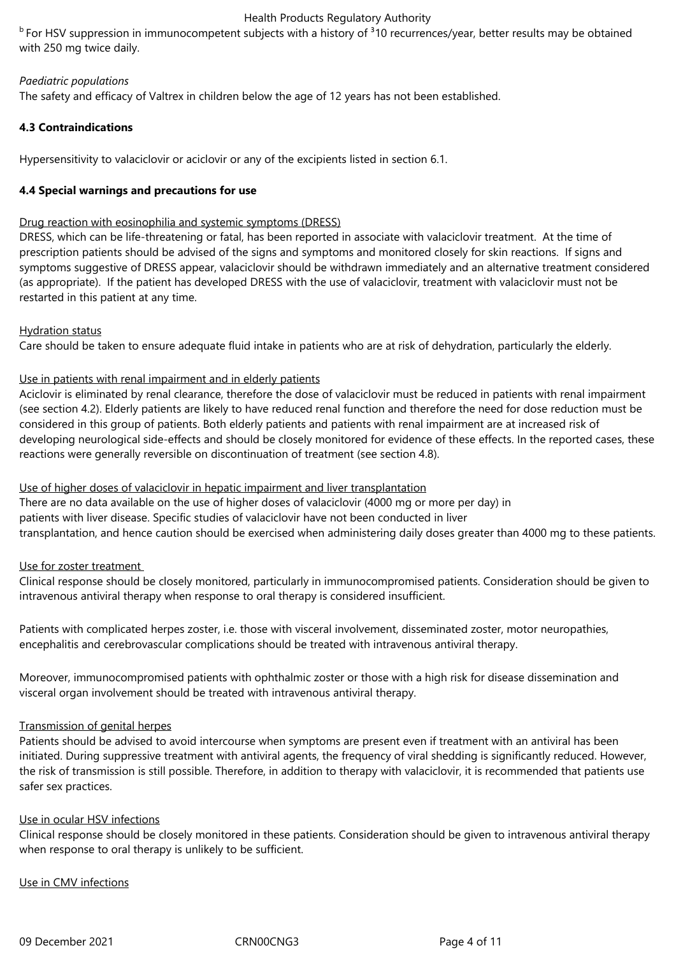$<sup>b</sup>$  For HSV suppression in immunocompetent subjects with a history of  $<sup>3</sup>10$  recurrences/year, better results may be obtained</sup></sup> with 250 mg twice daily.

## *Paediatric populations*

The safety and efficacy of Valtrex in children below the age of 12 years has not been established.

# **4.3 Contraindications**

Hypersensitivity to valaciclovir or aciclovir or any of the excipients listed in section 6.1.

## **4.4 Special warnings and precautions for use**

## Drug reaction with eosinophilia and systemic symptoms (DRESS)

DRESS, which can be life-threatening or fatal, has been reported in associate with valaciclovir treatment. At the time of prescription patients should be advised of the signs and symptoms and monitored closely for skin reactions. If signs and symptoms suggestive of DRESS appear, valaciclovir should be withdrawn immediately and an alternative treatment considered (as appropriate). If the patient has developed DRESS with the use of valaciclovir, treatment with valaciclovir must not be restarted in this patient at any time.

## Hydration status

Care should be taken to ensure adequate fluid intake in patients who are at risk of dehydration, particularly the elderly.

# Use in patients with renal impairment and in elderly patients

Aciclovir is eliminated by renal clearance, therefore the dose of valaciclovir must be reduced in patients with renal impairment (see section 4.2). Elderly patients are likely to have reduced renal function and therefore the need for dose reduction must be considered in this group of patients. Both elderly patients and patients with renal impairment are at increased risk of developing neurological side-effects and should be closely monitored for evidence of these effects. In the reported cases, these reactions were generally reversible on discontinuation of treatment (see section 4.8).

Use of higher doses of valaciclovir in hepatic impairment and liver transplantation There are no data available on the use of higher doses of valaciclovir (4000 mg or more per day) in patients with liver disease. Specific studies of valaciclovir have not been conducted in liver transplantation, and hence caution should be exercised when administering daily doses greater than 4000 mg to these patients.

#### Use for zoster treatment

Clinical response should be closely monitored, particularly in immunocompromised patients. Consideration should be given to intravenous antiviral therapy when response to oral therapy is considered insufficient.

Patients with complicated herpes zoster, i.e. those with visceral involvement, disseminated zoster, motor neuropathies, encephalitis and cerebrovascular complications should be treated with intravenous antiviral therapy.

Moreover, immunocompromised patients with ophthalmic zoster or those with a high risk for disease dissemination and visceral organ involvement should be treated with intravenous antiviral therapy.

#### Transmission of genital herpes

Patients should be advised to avoid intercourse when symptoms are present even if treatment with an antiviral has been initiated. During suppressive treatment with antiviral agents, the frequency of viral shedding is significantly reduced. However, the risk of transmission is still possible. Therefore, in addition to therapy with valaciclovir, it is recommended that patients use safer sex practices.

# Use in ocular HSV infections

Clinical response should be closely monitored in these patients. Consideration should be given to intravenous antiviral therapy when response to oral therapy is unlikely to be sufficient.

#### Use in CMV infections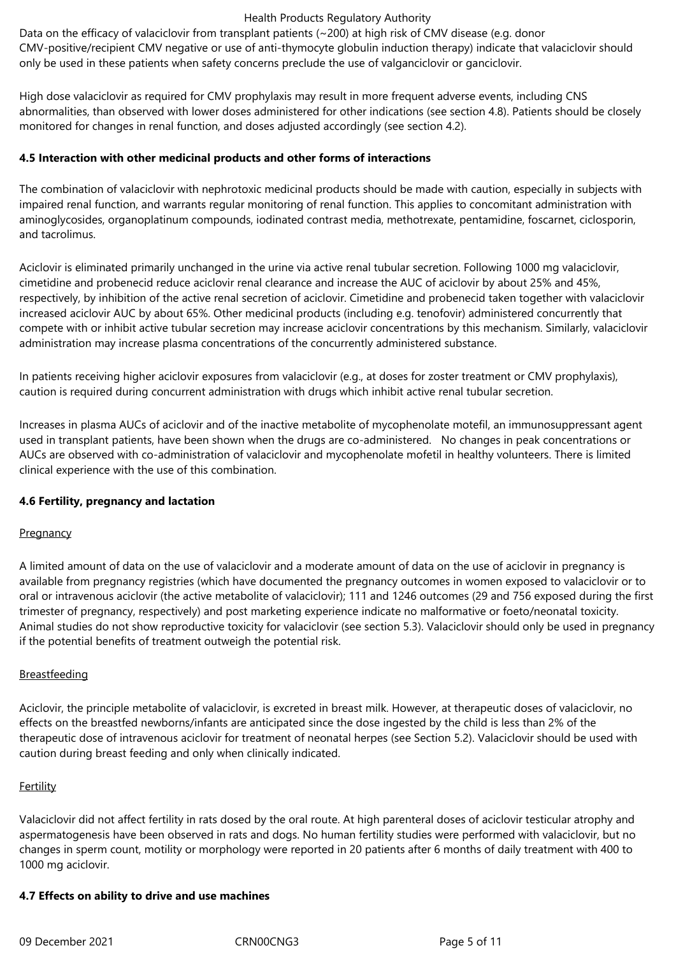Data on the efficacy of valaciclovir from transplant patients (~200) at high risk of CMV disease (e.g. donor CMV-positive/recipient CMV negative or use of anti-thymocyte globulin induction therapy) indicate that valaciclovir should only be used in these patients when safety concerns preclude the use of valganciclovir or ganciclovir.

High dose valaciclovir as required for CMV prophylaxis may result in more frequent adverse events, including CNS abnormalities, than observed with lower doses administered for other indications (see section 4.8). Patients should be closely monitored for changes in renal function, and doses adjusted accordingly (see section 4.2).

## **4.5 Interaction with other medicinal products and other forms of interactions**

The combination of valaciclovir with nephrotoxic medicinal products should be made with caution, especially in subjects with impaired renal function, and warrants regular monitoring of renal function. This applies to concomitant administration with aminoglycosides, organoplatinum compounds, iodinated contrast media, methotrexate, pentamidine, foscarnet, ciclosporin, and tacrolimus.

Aciclovir is eliminated primarily unchanged in the urine via active renal tubular secretion. Following 1000 mg valaciclovir, cimetidine and probenecid reduce aciclovir renal clearance and increase the AUC of aciclovir by about 25% and 45%, respectively, by inhibition of the active renal secretion of aciclovir. Cimetidine and probenecid taken together with valaciclovir increased aciclovir AUC by about 65%. Other medicinal products (including e.g. tenofovir) administered concurrently that compete with or inhibit active tubular secretion may increase aciclovir concentrations by this mechanism. Similarly, valaciclovir administration may increase plasma concentrations of the concurrently administered substance.

In patients receiving higher aciclovir exposures from valaciclovir (e.g., at doses for zoster treatment or CMV prophylaxis), caution is required during concurrent administration with drugs which inhibit active renal tubular secretion.

Increases in plasma AUCs of aciclovir and of the inactive metabolite of mycophenolate motefil, an immunosuppressant agent used in transplant patients, have been shown when the drugs are co‑administered. No changes in peak concentrations or AUCs are observed with co-administration of valaciclovir and mycophenolate mofetil in healthy volunteers. There is limited clinical experience with the use of this combination.

#### **4.6 Fertility, pregnancy and lactation**

#### **Pregnancy**

A limited amount of data on the use of valaciclovir and a moderate amount of data on the use of aciclovir in pregnancy is available from pregnancy registries (which have documented the pregnancy outcomes in women exposed to valaciclovir or to oral or intravenous aciclovir (the active metabolite of valaciclovir); 111 and 1246 outcomes (29 and 756 exposed during the first trimester of pregnancy, respectively) and post marketing experience indicate no malformative or foeto/neonatal toxicity. Animal studies do not show reproductive toxicity for valaciclovir (see section 5.3). Valaciclovir should only be used in pregnancy if the potential benefits of treatment outweigh the potential risk.

#### **Breastfeeding**

Aciclovir, the principle metabolite of valaciclovir, is excreted in breast milk. However, at therapeutic doses of valaciclovir, no effects on the breastfed newborns/infants are anticipated since the dose ingested by the child is less than 2% of the therapeutic dose of intravenous aciclovir for treatment of neonatal herpes (see Section 5.2). Valaciclovir should be used with caution during breast feeding and only when clinically indicated.

# **Fertility**

Valaciclovir did not affect fertility in rats dosed by the oral route. At high parenteral doses of aciclovir testicular atrophy and aspermatogenesis have been observed in rats and dogs. No human fertility studies were performed with valaciclovir, but no changes in sperm count, motility or morphology were reported in 20 patients after 6 months of daily treatment with 400 to 1000 mg aciclovir.

#### **4.7 Effects on ability to drive and use machines**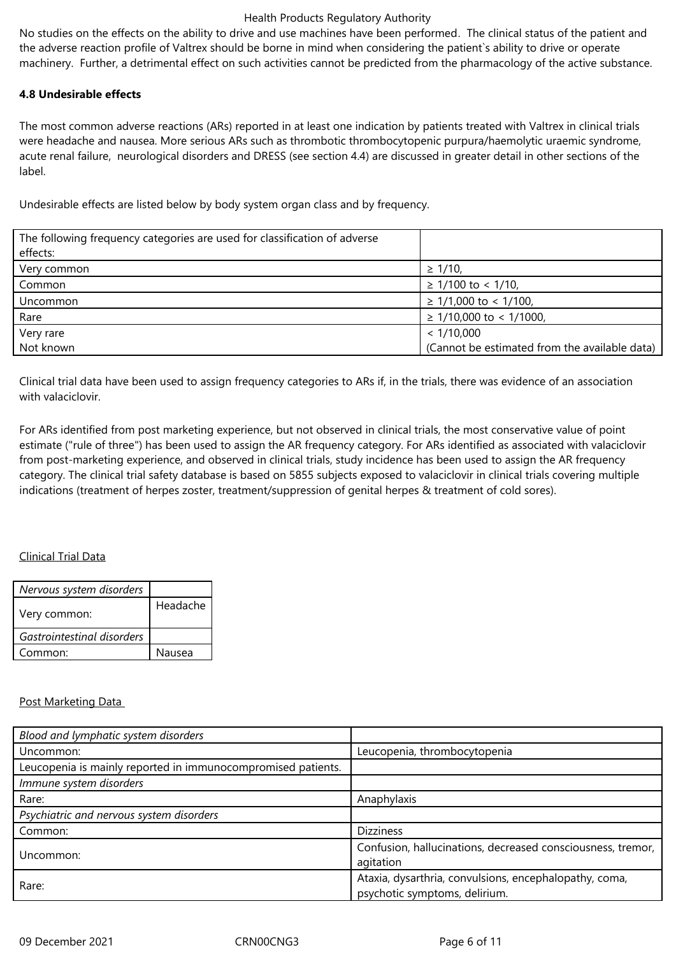No studies on the effects on the ability to drive and use machines have been performed. The clinical status of the patient and the adverse reaction profile of Valtrex should be borne in mind when considering the patient`s ability to drive or operate machinery. Further, a detrimental effect on such activities cannot be predicted from the pharmacology of the active substance.

## **4.8 Undesirable effects**

The most common adverse reactions (ARs) reported in at least one indication by patients treated with Valtrex in clinical trials were headache and nausea. More serious ARs such as thrombotic thrombocytopenic purpura/haemolytic uraemic syndrome, acute renal failure, neurological disorders and DRESS (see section 4.4) are discussed in greater detail in other sections of the label.

Undesirable effects are listed below by body system organ class and by frequency.

| The following frequency categories are used for classification of adverse |                                               |
|---------------------------------------------------------------------------|-----------------------------------------------|
| effects:                                                                  |                                               |
| Very common                                                               | $\geq$ 1/10,                                  |
| Common                                                                    | $≥ 1/100$ to < 1/10,                          |
| Uncommon                                                                  | $\geq$ 1/1,000 to < 1/100,                    |
| Rare                                                                      | $\geq$ 1/10,000 to < 1/1000,                  |
| Very rare                                                                 | < 1/10,000                                    |
| Not known                                                                 | (Cannot be estimated from the available data) |

Clinical trial data have been used to assign frequency categories to ARs if, in the trials, there was evidence of an association with valaciclovir.

For ARs identified from post marketing experience, but not observed in clinical trials, the most conservative value of point estimate ("rule of three") has been used to assign the AR frequency category. For ARs identified as associated with valaciclovir from post-marketing experience, and observed in clinical trials, study incidence has been used to assign the AR frequency category. The clinical trial safety database is based on 5855 subjects exposed to valaciclovir in clinical trials covering multiple indications (treatment of herpes zoster, treatment/suppression of genital herpes & treatment of cold sores).

# Clinical Trial Data

| Nervous system disorders   |          |
|----------------------------|----------|
| Very common:               | Headache |
| Gastrointestinal disorders |          |
| Common:                    | Nausea   |

# Post Marketing Data

| Blood and lymphatic system disorders                         |                                                                                         |
|--------------------------------------------------------------|-----------------------------------------------------------------------------------------|
| Uncommon:                                                    | Leucopenia, thrombocytopenia                                                            |
| Leucopenia is mainly reported in immunocompromised patients. |                                                                                         |
| Immune system disorders                                      |                                                                                         |
| Rare:                                                        | Anaphylaxis                                                                             |
| Psychiatric and nervous system disorders                     |                                                                                         |
| Common:                                                      | <b>Dizziness</b>                                                                        |
| Uncommon:                                                    | Confusion, hallucinations, decreased consciousness, tremor,<br>agitation                |
| Rare:                                                        | Ataxia, dysarthria, convulsions, encephalopathy, coma,<br>psychotic symptoms, delirium. |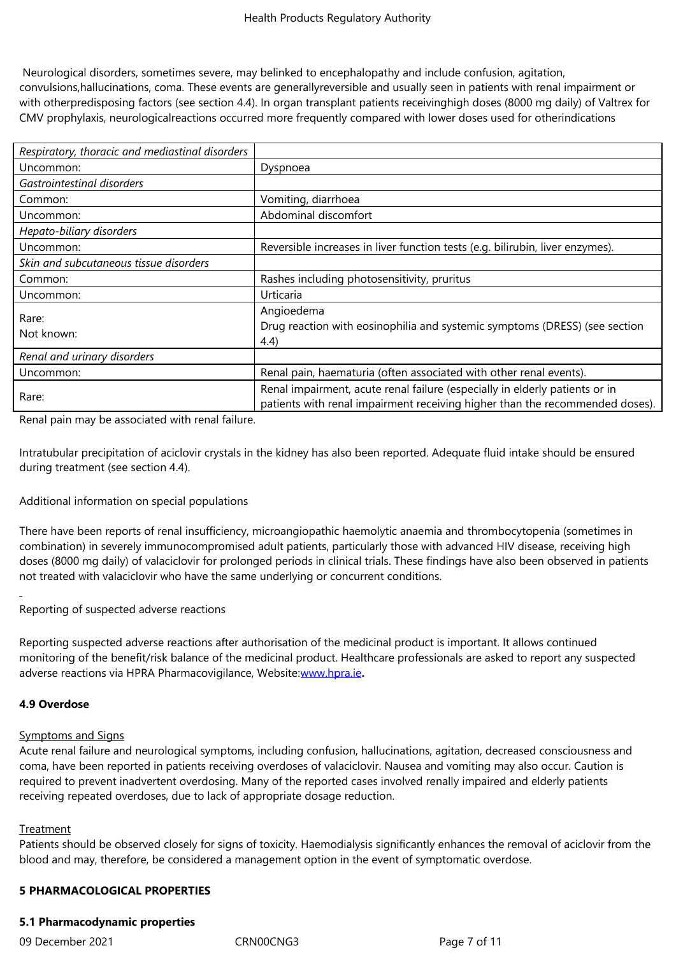Neurological disorders, sometimes severe, may belinked to encephalopathy and include confusion, agitation, convulsions,hallucinations, coma. These events are generallyreversible and usually seen in patients with renal impairment or with otherpredisposing factors (see section 4.4). In organ transplant patients receivinghigh doses (8000 mg daily) of Valtrex for CMV prophylaxis, neurologicalreactions occurred more frequently compared with lower doses used for otherindications

| Respiratory, thoracic and mediastinal disorders |                                                                                                                                                             |  |
|-------------------------------------------------|-------------------------------------------------------------------------------------------------------------------------------------------------------------|--|
| Uncommon:                                       | Dyspnoea                                                                                                                                                    |  |
| Gastrointestinal disorders                      |                                                                                                                                                             |  |
| Common:                                         | Vomiting, diarrhoea                                                                                                                                         |  |
| Uncommon:                                       | Abdominal discomfort                                                                                                                                        |  |
| Hepato-biliary disorders                        |                                                                                                                                                             |  |
| Uncommon:                                       | Reversible increases in liver function tests (e.g. bilirubin, liver enzymes).                                                                               |  |
| Skin and subcutaneous tissue disorders          |                                                                                                                                                             |  |
| Common:                                         | Rashes including photosensitivity, pruritus                                                                                                                 |  |
| Uncommon:                                       | Urticaria                                                                                                                                                   |  |
| Rare:<br>Not known:                             | Angioedema<br>Drug reaction with eosinophilia and systemic symptoms (DRESS) (see section<br>(4.4)                                                           |  |
| Renal and urinary disorders                     |                                                                                                                                                             |  |
| Uncommon:                                       | Renal pain, haematuria (often associated with other renal events).                                                                                          |  |
| Rare:                                           | Renal impairment, acute renal failure (especially in elderly patients or in<br>patients with renal impairment receiving higher than the recommended doses). |  |

Renal pain may be associated with renal failure.

Intratubular precipitation of aciclovir crystals in the kidney has also been reported. Adequate fluid intake should be ensured during treatment (see section 4.4).

Additional information on special populations

There have been reports of renal insufficiency, microangiopathic haemolytic anaemia and thrombocytopenia (sometimes in combination) in severely immunocompromised adult patients, particularly those with advanced HIV disease, receiving high doses (8000 mg daily) of valaciclovir for prolonged periods in clinical trials. These findings have also been observed in patients not treated with valaciclovir who have the same underlying or concurrent conditions.

Reporting of suspected adverse reactions

Reporting suspected adverse reactions after authorisation of the medicinal product is important. It allows continued monitoring of the benefit/risk balance of the medicinal product. Healthcare professionals are asked to report any suspected adverse reactions via HPRA Pharmacovigilance, Website:www.hpra.ie**.**

#### **4.9 Overdose**

#### Symptoms and Signs

Acute renal failure and neurological symptoms, including confusion, hallucinations, agitation, decreased consciousness and coma, have been reported in patients receiving overdoses of valaciclovir. Nausea and vomiting may also occur. Caution is required to prevent inadvertent overdosing. Many of the reported cases involved renally impaired and elderly patients receiving repeated overdoses, due to lack of appropriate dosage reduction.

#### **Treatment**

Patients should be observed closely for signs of toxicity. Haemodialysis significantly enhances the removal of aciclovir from the blood and may, therefore, be considered a management option in the event of symptomatic overdose.

#### **5 PHARMACOLOGICAL PROPERTIES**

# **5.1 Pharmacodynamic properties**

09 December 2021 CRN00CNG3 Page 7 of 11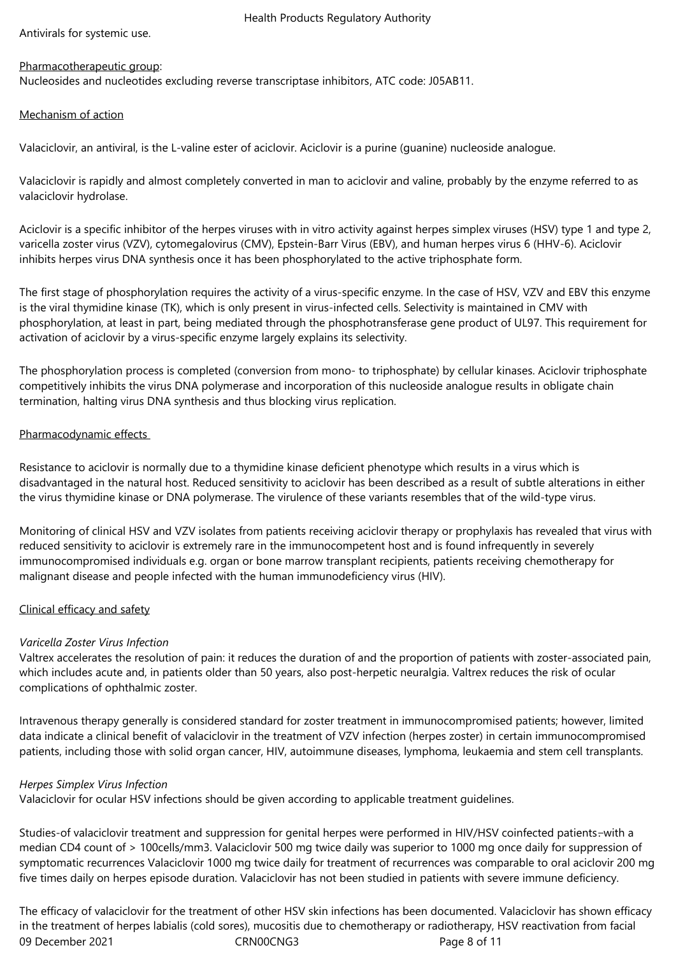Antivirals for systemic use.

# Pharmacotherapeutic group:

Nucleosides and nucleotides excluding reverse transcriptase inhibitors, ATC code: J05AB11.

## Mechanism of action

Valaciclovir, an antiviral, is the L-valine ester of aciclovir. Aciclovir is a purine (guanine) nucleoside analogue.

Valaciclovir is rapidly and almost completely converted in man to aciclovir and valine, probably by the enzyme referred to as valaciclovir hydrolase.

Aciclovir is a specific inhibitor of the herpes viruses with in vitro activity against herpes simplex viruses (HSV) type 1 and type 2, varicella zoster virus (VZV), cytomegalovirus (CMV), Epstein-Barr Virus (EBV), and human herpes virus 6 (HHV-6). Aciclovir inhibits herpes virus DNA synthesis once it has been phosphorylated to the active triphosphate form.

The first stage of phosphorylation requires the activity of a virus-specific enzyme. In the case of HSV, VZV and EBV this enzyme is the viral thymidine kinase (TK), which is only present in virus-infected cells. Selectivity is maintained in CMV with phosphorylation, at least in part, being mediated through the phosphotransferase gene product of UL97. This requirement for activation of aciclovir by a virus-specific enzyme largely explains its selectivity.

The phosphorylation process is completed (conversion from mono- to triphosphate) by cellular kinases. Aciclovir triphosphate competitively inhibits the virus DNA polymerase and incorporation of this nucleoside analogue results in obligate chain termination, halting virus DNA synthesis and thus blocking virus replication.

## Pharmacodynamic effects

Resistance to aciclovir is normally due to a thymidine kinase deficient phenotype which results in a virus which is disadvantaged in the natural host. Reduced sensitivity to aciclovir has been described as a result of subtle alterations in either the virus thymidine kinase or DNA polymerase. The virulence of these variants resembles that of the wild-type virus.

Monitoring of clinical HSV and VZV isolates from patients receiving aciclovir therapy or prophylaxis has revealed that virus with reduced sensitivity to aciclovir is extremely rare in the immunocompetent host and is found infrequently in severely immunocompromised individuals e.g. organ or bone marrow transplant recipients, patients receiving chemotherapy for malignant disease and people infected with the human immunodeficiency virus (HIV).

# Clinical efficacy and safety

# *Varicella Zoster Virus Infection*

Valtrex accelerates the resolution of pain: it reduces the duration of and the proportion of patients with zoster-associated pain, which includes acute and, in patients older than 50 years, also post-herpetic neuralgia. Valtrex reduces the risk of ocular complications of ophthalmic zoster.

Intravenous therapy generally is considered standard for zoster treatment in immunocompromised patients; however, limited data indicate a clinical benefit of valaciclovir in the treatment of VZV infection (herpes zoster) in certain immunocompromised patients, including those with solid organ cancer, HIV, autoimmune diseases, lymphoma, leukaemia and stem cell transplants.

#### *Herpes Simplex Virus Infection*

Valaciclovir for ocular HSV infections should be given according to applicable treatment guidelines.

Studies-of valaciclovir treatment and suppression for genital herpes were performed in HIV/HSV coinfected patients. with a median CD4 count of > 100cells/mm3. Valaciclovir 500 mg twice daily was superior to 1000 mg once daily for suppression of symptomatic recurrences Valaciclovir 1000 mg twice daily for treatment of recurrences was comparable to oral aciclovir 200 mg five times daily on herpes episode duration. Valaciclovir has not been studied in patients with severe immune deficiency.

09 December 2021 CRN00CNG3 Page 8 of 11 The efficacy of valaciclovir for the treatment of other HSV skin infections has been documented. Valaciclovir has shown efficacy in the treatment of herpes labialis (cold sores), mucositis due to chemotherapy or radiotherapy, HSV reactivation from facial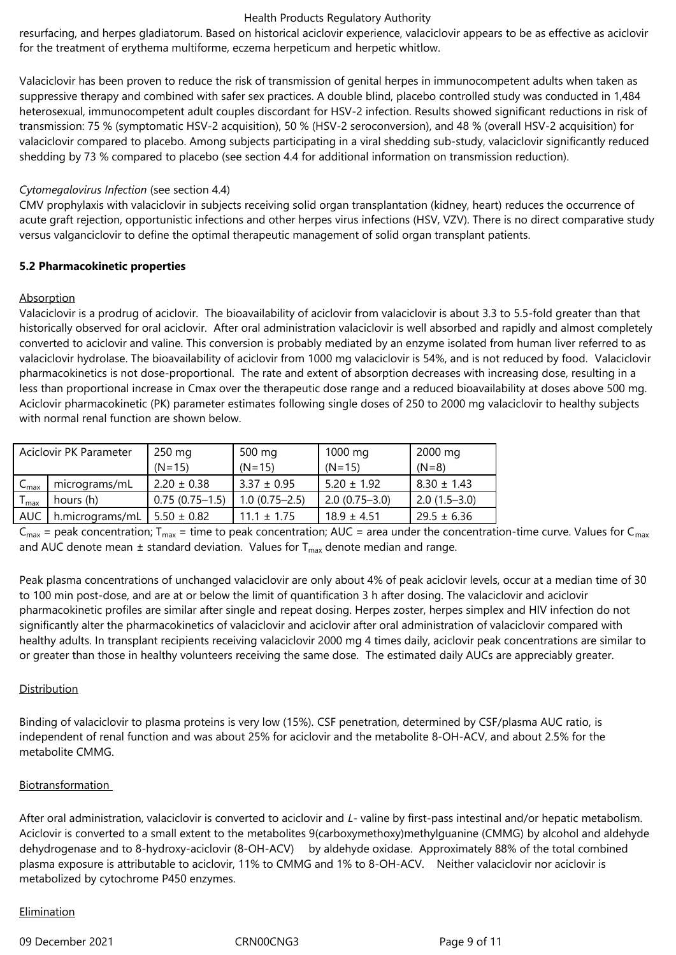resurfacing, and herpes gladiatorum. Based on historical aciclovir experience, valaciclovir appears to be as effective as aciclovir for the treatment of erythema multiforme, eczema herpeticum and herpetic whitlow.

Valaciclovir has been proven to reduce the risk of transmission of genital herpes in immunocompetent adults when taken as suppressive therapy and combined with safer sex practices. A double blind, placebo controlled study was conducted in 1,484 heterosexual, immunocompetent adult couples discordant for HSV-2 infection. Results showed significant reductions in risk of transmission: 75 % (symptomatic HSV-2 acquisition), 50 % (HSV-2 seroconversion), and 48 % (overall HSV-2 acquisition) for valaciclovir compared to placebo. Among subjects participating in a viral shedding sub-study, valaciclovir significantly reduced shedding by 73 % compared to placebo (see section 4.4 for additional information on transmission reduction).

## *Cytomegalovirus Infection* (see section 4.4)

CMV prophylaxis with valaciclovir in subjects receiving solid organ transplantation (kidney, heart) reduces the occurrence of acute graft rejection, opportunistic infections and other herpes virus infections (HSV, VZV). There is no direct comparative study versus valganciclovir to define the optimal therapeutic management of solid organ transplant patients.

## **5.2 Pharmacokinetic properties**

## Absorption

Valaciclovir is a prodrug of aciclovir. The bioavailability of aciclovir from valaciclovir is about 3.3 to 5.5-fold greater than that historically observed for oral aciclovir. After oral administration valaciclovir is well absorbed and rapidly and almost completely converted to aciclovir and valine. This conversion is probably mediated by an enzyme isolated from human liver referred to as valaciclovir hydrolase. The bioavailability of aciclovir from 1000 mg valaciclovir is 54%, and is not reduced by food. Valaciclovir pharmacokinetics is not dose-proportional. The rate and extent of absorption decreases with increasing dose, resulting in a less than proportional increase in Cmax over the therapeutic dose range and a reduced bioavailability at doses above 500 mg. Aciclovir pharmacokinetic (PK) parameter estimates following single doses of 250 to 2000 mg valaciclovir to healthy subjects with normal renal function are shown below.

|                           | Aciclovir PK Parameter | $250 \text{ mg}$ | 500 mg            | 1000 mg           | 2000 mg         |
|---------------------------|------------------------|------------------|-------------------|-------------------|-----------------|
|                           |                        | $(N=15)$         | $(N=15)$          | $(N=15)$          | $(N=8)$         |
| $C_{\text{max}}$          | micrograms/mL          | $2.20 \pm 0.38$  | $3.37 \pm 0.95$   | $5.20 \pm 1.92$   | $8.30 \pm 1.43$ |
| $\mathsf{I}_{\text{max}}$ | hours (h)              | $0.75(0.75-1.5)$ | $1.0(0.75 - 2.5)$ | $2.0(0.75 - 3.0)$ | $2.0(1.5-3.0)$  |
| AUC                       | h.micrograms/mL        | $15.50 \pm 0.82$ | $11.1 \pm 1.75$   | $18.9 \pm 4.51$   | $29.5 \pm 6.36$ |

 $C_{\text{max}}$  = peak concentration; T<sub>max</sub> = time to peak concentration; AUC = area under the concentration-time curve. Values for C<sub>max</sub> and AUC denote mean  $\pm$  standard deviation. Values for T<sub>max</sub> denote median and range.

Peak plasma concentrations of unchanged valaciclovir are only about 4% of peak aciclovir levels, occur at a median time of 30 to 100 min post-dose, and are at or below the limit of quantification 3 h after dosing. The valaciclovir and aciclovir pharmacokinetic profiles are similar after single and repeat dosing. Herpes zoster, herpes simplex and HIV infection do not significantly alter the pharmacokinetics of valaciclovir and aciclovir after oral administration of valaciclovir compared with healthy adults. In transplant recipients receiving valaciclovir 2000 mg 4 times daily, aciclovir peak concentrations are similar to or greater than those in healthy volunteers receiving the same dose. The estimated daily AUCs are appreciably greater.

#### **Distribution**

Binding of valaciclovir to plasma proteins is very low (15%). CSF penetration, determined by CSF/plasma AUC ratio, is independent of renal function and was about 25% for aciclovir and the metabolite 8-OH-ACV, and about 2.5% for the metabolite CMMG.

#### Biotransformation

After oral administration, valaciclovir is converted to aciclovir and *L‑* valine by first‑pass intestinal and/or hepatic metabolism. Aciclovir is converted to a small extent to the metabolites 9(carboxymethoxy)methylguanine (CMMG) by alcohol and aldehyde dehydrogenase and to 8-hydroxy-aciclovir (8-OH-ACV) by aldehyde oxidase. Approximately 88% of the total combined plasma exposure is attributable to aciclovir, 11% to CMMG and 1% to 8‑OH‑ACV. Neither valaciclovir nor aciclovir is metabolized by cytochrome P450 enzymes.

#### **Elimination**

09 December 2021 CRN00CNG3 Page 9 of 11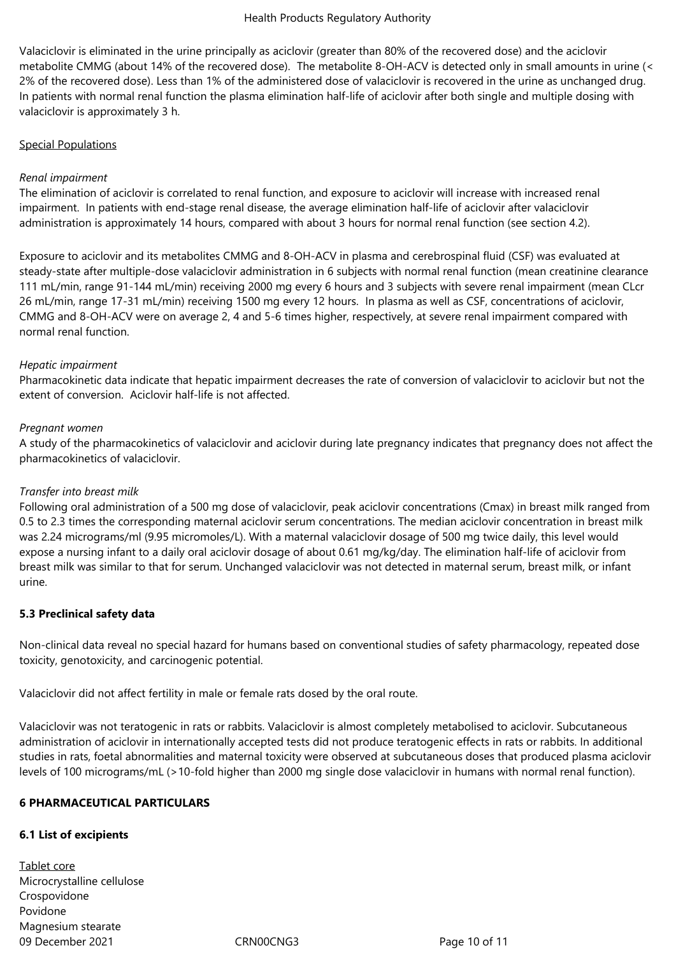Valaciclovir is eliminated in the urine principally as aciclovir (greater than 80% of the recovered dose) and the aciclovir metabolite CMMG (about 14% of the recovered dose). The metabolite 8-OH-ACV is detected only in small amounts in urine (< 2% of the recovered dose). Less than 1% of the administered dose of valaciclovir is recovered in the urine as unchanged drug. In patients with normal renal function the plasma elimination half-life of aciclovir after both single and multiple dosing with valaciclovir is approximately 3 h.

## Special Populations

## *Renal impairment*

The elimination of aciclovir is correlated to renal function, and exposure to aciclovir will increase with increased renal impairment. In patients with end-stage renal disease, the average elimination half-life of aciclovir after valaciclovir administration is approximately 14 hours, compared with about 3 hours for normal renal function (see section 4.2).

Exposure to aciclovir and its metabolites CMMG and 8-OH-ACV in plasma and cerebrospinal fluid (CSF) was evaluated at steady-state after multiple-dose valaciclovir administration in 6 subjects with normal renal function (mean creatinine clearance 111 mL/min, range 91-144 mL/min) receiving 2000 mg every 6 hours and 3 subjects with severe renal impairment (mean CLcr 26 mL/min, range 17-31 mL/min) receiving 1500 mg every 12 hours. In plasma as well as CSF, concentrations of aciclovir, CMMG and 8-OH-ACV were on average 2, 4 and 5-6 times higher, respectively, at severe renal impairment compared with normal renal function.

## *Hepatic impairment*

Pharmacokinetic data indicate that hepatic impairment decreases the rate of conversion of valaciclovir to aciclovir but not the extent of conversion. Aciclovir half-life is not affected.

## *Pregnant women*

A study of the pharmacokinetics of valaciclovir and aciclovir during late pregnancy indicates that pregnancy does not affect the pharmacokinetics of valaciclovir.

# *Transfer into breast milk*

Following oral administration of a 500 mg dose of valaciclovir, peak aciclovir concentrations (Cmax) in breast milk ranged from 0.5 to 2.3 times the corresponding maternal aciclovir serum concentrations. The median aciclovir concentration in breast milk was 2.24 micrograms/ml (9.95 micromoles/L). With a maternal valaciclovir dosage of 500 mg twice daily, this level would expose a nursing infant to a daily oral aciclovir dosage of about 0.61 mg/kg/day. The elimination half-life of aciclovir from breast milk was similar to that for serum. Unchanged valaciclovir was not detected in maternal serum, breast milk, or infant urine.

# **5.3 Preclinical safety data**

Non-clinical data reveal no special hazard for humans based on conventional studies of safety pharmacology, repeated dose toxicity, genotoxicity, and carcinogenic potential.

Valaciclovir did not affect fertility in male or female rats dosed by the oral route.

Valaciclovir was not teratogenic in rats or rabbits. Valaciclovir is almost completely metabolised to aciclovir. Subcutaneous administration of aciclovir in internationally accepted tests did not produce teratogenic effects in rats or rabbits. In additional studies in rats, foetal abnormalities and maternal toxicity were observed at subcutaneous doses that produced plasma aciclovir levels of 100 micrograms/mL (>10-fold higher than 2000 mg single dose valaciclovir in humans with normal renal function).

#### **6 PHARMACEUTICAL PARTICULARS**

# **6.1 List of excipients**

09 December 2021 CRN00CNG3 Page 10 of 11 Tablet core Microcrystalline cellulose Crospovidone Povidone Magnesium stearate